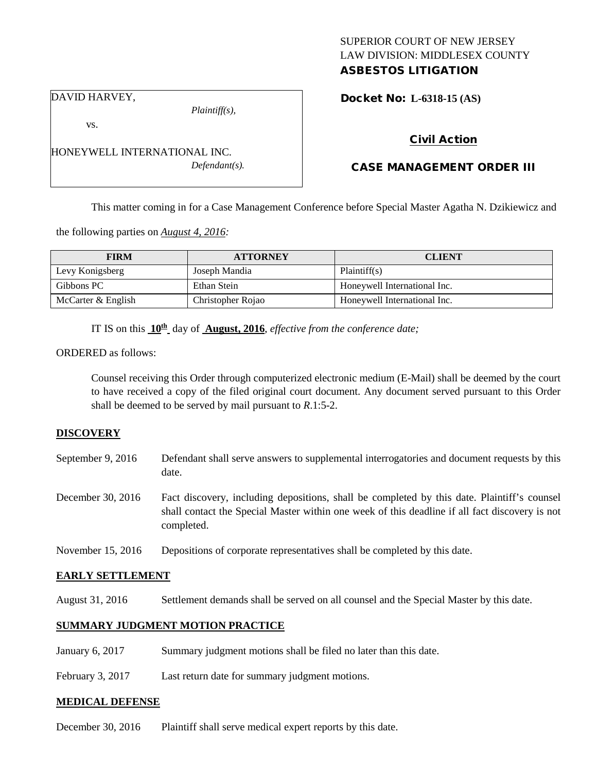# SUPERIOR COURT OF NEW JERSEY LAW DIVISION: MIDDLESEX COUNTY ASBESTOS LITIGATION

Docket No: **L-6318-15 (AS)** 

DAVID HARVEY,

vs.

*Plaintiff(s),*

*Defendant(s).*

# Civil Action

# CASE MANAGEMENT ORDER III

This matter coming in for a Case Management Conference before Special Master Agatha N. Dzikiewicz and

the following parties on *August 4, 2016:*

HONEYWELL INTERNATIONAL INC.

| <b>FIRM</b>        | <b>ATTORNEY</b>   | <b>CLIENT</b>                |
|--------------------|-------------------|------------------------------|
| Levy Konigsberg    | Joseph Mandia     | Plaintiff(s)                 |
| Gibbons PC         | Ethan Stein       | Honeywell International Inc. |
| McCarter & English | Christopher Rojao | Honeywell International Inc. |

IT IS on this **10th** day of **August, 2016**, *effective from the conference date;*

ORDERED as follows:

Counsel receiving this Order through computerized electronic medium (E-Mail) shall be deemed by the court to have received a copy of the filed original court document. Any document served pursuant to this Order shall be deemed to be served by mail pursuant to *R*.1:5-2.

#### **DISCOVERY**

- September 9, 2016 Defendant shall serve answers to supplemental interrogatories and document requests by this date.
- December 30, 2016 Fact discovery, including depositions, shall be completed by this date. Plaintiff's counsel shall contact the Special Master within one week of this deadline if all fact discovery is not completed.
- November 15, 2016 Depositions of corporate representatives shall be completed by this date.

## **EARLY SETTLEMENT**

August 31, 2016 Settlement demands shall be served on all counsel and the Special Master by this date.

### **SUMMARY JUDGMENT MOTION PRACTICE**

January 6, 2017 Summary judgment motions shall be filed no later than this date.

February 3, 2017 Last return date for summary judgment motions.

#### **MEDICAL DEFENSE**

December 30, 2016 Plaintiff shall serve medical expert reports by this date.